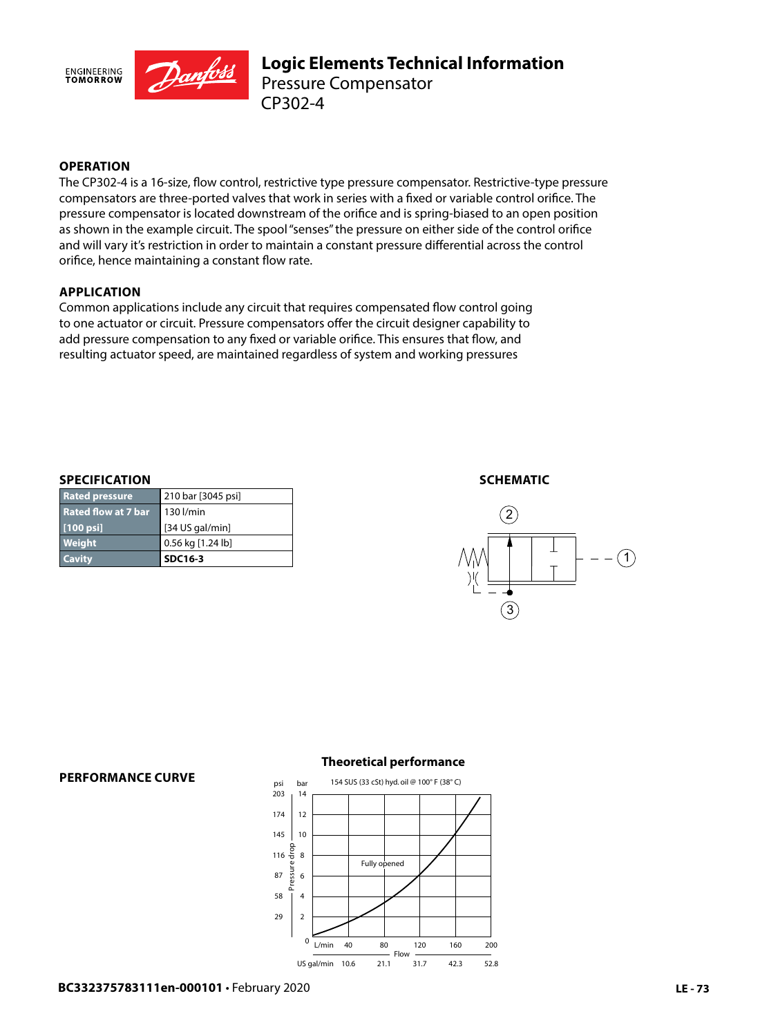

## **OPERATION**

The CP302-4 is a 16-size, flow control, restrictive type pressure compensator. Restrictive-type pressure compensators are three-ported valves that work in series with a fixed or variable control orifice. The pressure compensator is located downstream of the orifice and is spring-biased to an open position as shown in the example circuit. The spool "senses" the pressure on either side of the control orifice and will vary it's restriction in order to maintain a constant pressure differential across the control orifice, hence maintaining a constant flow rate.

### **APPLICATION**

Common applications include any circuit that requires compensated flow control going to one actuator or circuit. Pressure compensators offer the circuit designer capability to add pressure compensation to any fixed or variable orifice. This ensures that flow, and resulting actuator speed, are maintained regardless of system and working pressures

#### **SPECIFICATION**

**PERFORMANCE CURVE**

| <b>Cavity</b>              | <b>SDC16-3</b>     |
|----------------------------|--------------------|
| Weight                     | 0.56 kg [1.24 lb]  |
| [100 psi]                  | [34 US gal/min]    |
| <b>Rated flow at 7 bar</b> | 130 l/min          |
| <b>Rated pressure</b>      | 210 bar [3045 psi] |

#### **SCHEMATIC**





## **Theoretical performance**